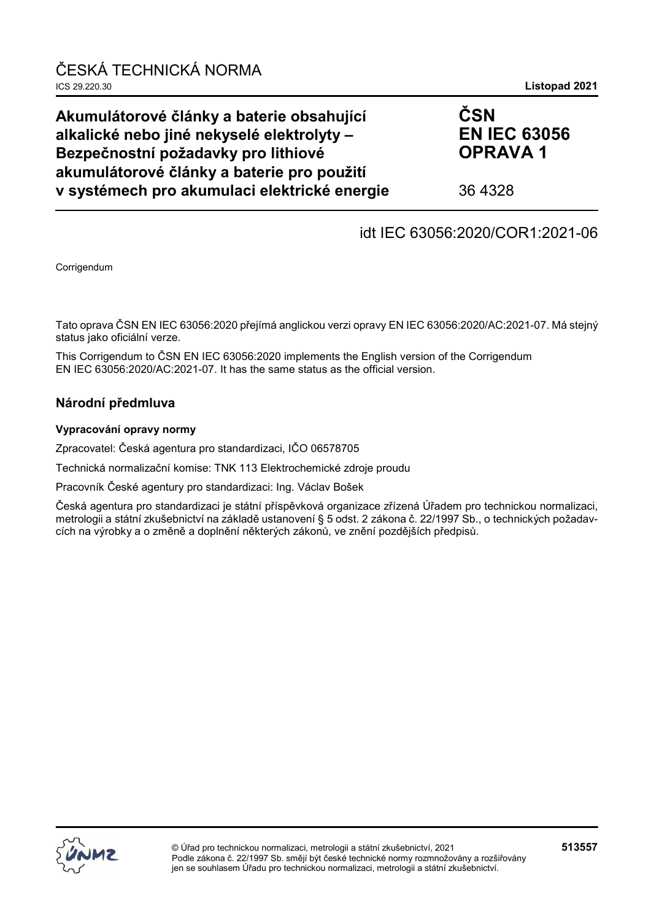#### **Akumulátorové články a baterie obsahující alkalické nebo jiné nekyselé elektrolyty – Bezpečnostní požadavky pro lithiové akumulátorové články a baterie pro použití v systémech pro akumulaci elektrické energie ČSN EN IEC 63056 OPRAVA 1** 36 4328

# idt IEC 63056:2020/COR1:2021-06

Corrigendum

Tato oprava ČSN EN IEC 63056:2020 přejímá anglickou verzi opravy EN IEC 63056:2020/AC:2021-07. Má stejný status jako oficiální verze.

This Corrigendum to ČSN EN IEC 63056:2020 implements the English version of the Corrigendum EN IEC 63056:2020/AC:2021-07. It has the same status as the official version.

### **Národní předmluva**

### **Vypracování opravy normy**

Zpracovatel: Česká agentura pro standardizaci, IČO 06578705

Technická normalizační komise: TNK 113 Elektrochemické zdroje proudu

Pracovník České agentury pro standardizaci: Ing. Václav Bošek

Česká agentura pro standardizaci je státní příspěvková organizace zřízená Úřadem pro technickou normalizaci, metrologii a státní zkušebnictví na základě ustanovení § 5 odst. 2 zákona č. 22/1997 Sb., o technických požadavcích na výrobky a o změně a doplnění některých zákonů, ve znění pozdějších předpisů.

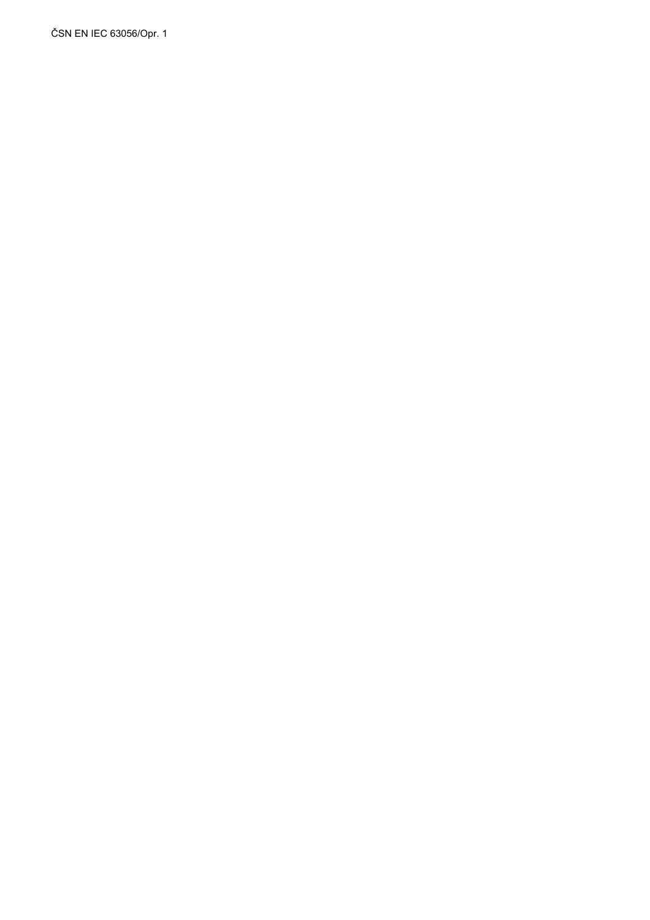ČSN EN IEC 63056/Opr. 1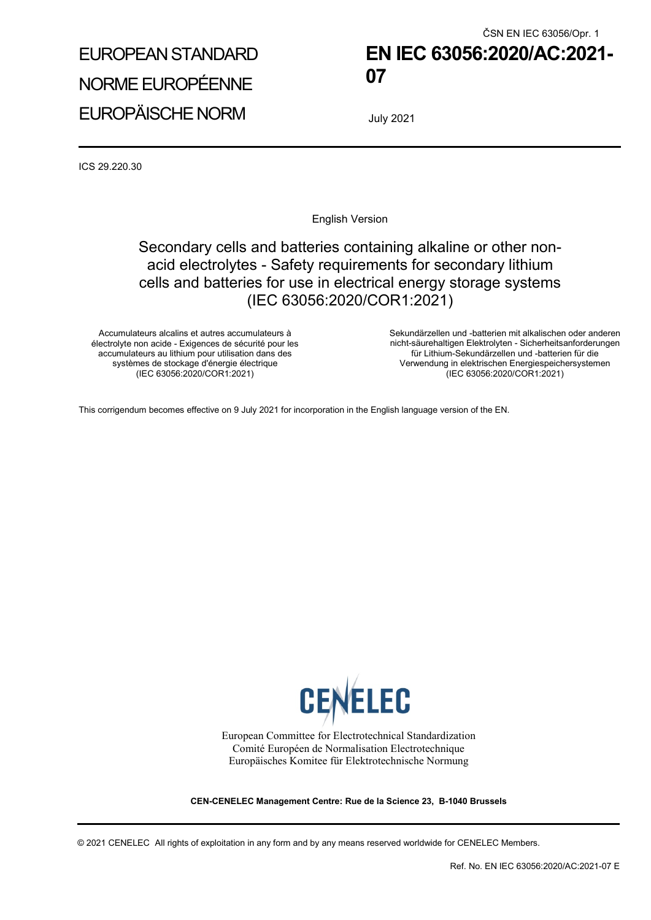# EUROPEAN STANDARD NORME EUROPÉENNE EUROPÄISCHE NORM

# **EN IEC 63056:2020/AC:2021- 07**

July 2021

ICS 29.220.30

English Version

## Secondary cells and batteries containing alkaline or other nonacid electrolytes - Safety requirements for secondary lithium cells and batteries for use in electrical energy storage systems (IEC 63056:2020/COR1:2021)

Accumulateurs alcalins et autres accumulateurs à électrolyte non acide - Exigences de sécurité pour les accumulateurs au lithium pour utilisation dans des systèmes de stockage d'énergie électrique (IEC 63056:2020/COR1:2021)

 Sekundärzellen und -batterien mit alkalischen oder anderen nicht-säurehaltigen Elektrolyten - Sicherheitsanforderungen für Lithium-Sekundärzellen und -batterien für die Verwendung in elektrischen Energiespeichersystemen (IEC 63056:2020/COR1:2021)

This corrigendum becomes effective on 9 July 2021 for incorporation in the English language version of the EN.



European Committee for Electrotechnical Standardization Comité Européen de Normalisation Electrotechnique Europäisches Komitee für Elektrotechnische Normung

**CEN-CENELEC Management Centre: Rue de la Science 23, B-1040 Brussels** 

© 2021 CENELEC All rights of exploitation in any form and by any means reserved worldwide for CENELEC Members.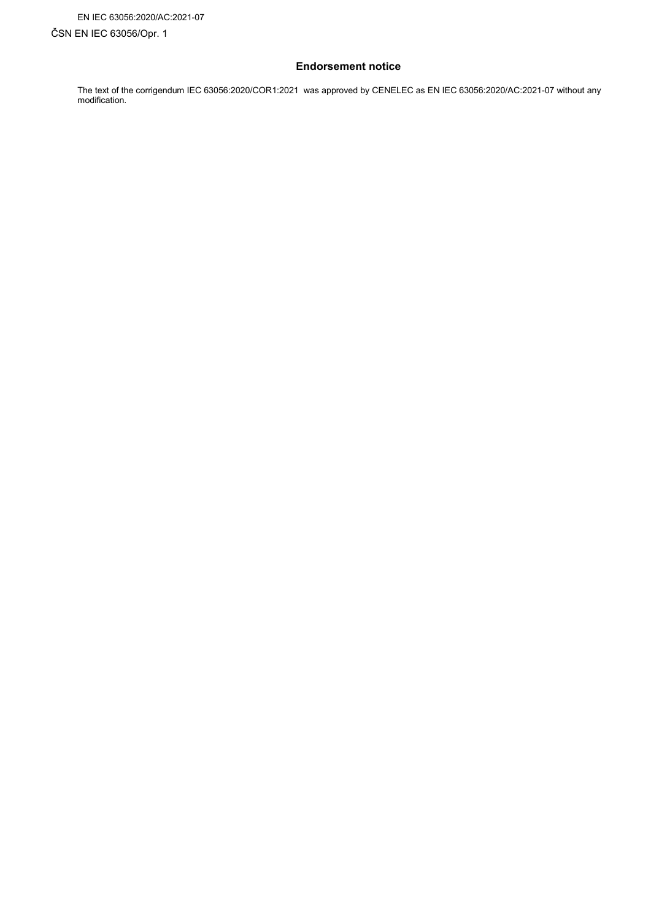EN IEC 63056:2020/AC:2021-07

ČSN EN IEC 63056/Opr. 1

### **Endorsement notice**

The text of the corrigendum IEC 63056:2020/COR1:2021 was approved by CENELEC as EN IEC 63056:2020/AC:2021-07 without any modification.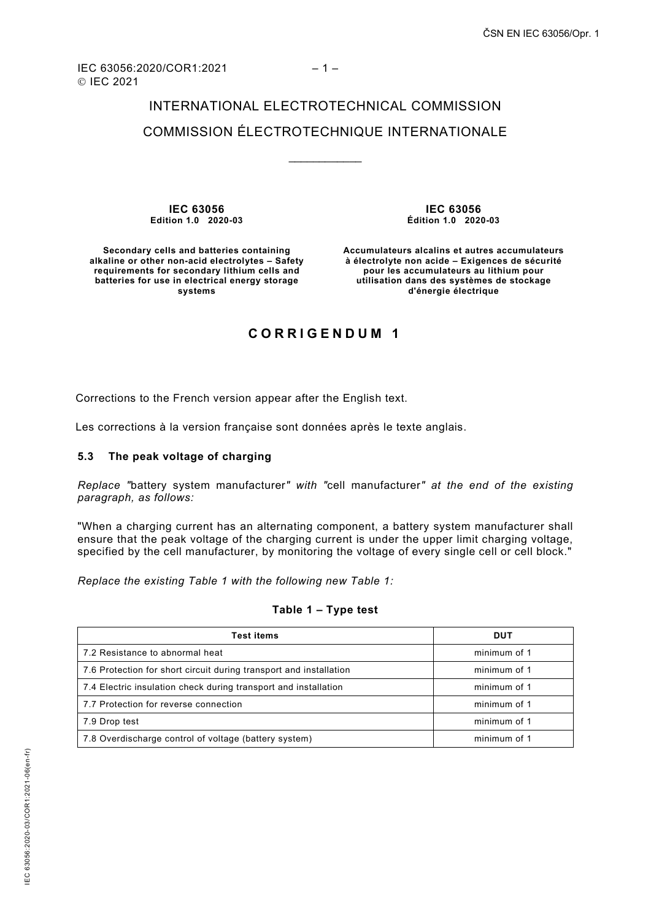# INTERNATIONAL ELECTROTECHNICAL COMMISSION COMMISSION ÉLECTROTECHNIQUE INTERNATIONALE

\_\_\_\_\_\_\_\_\_\_\_\_

**IEC 63056 Edition 1.0 2020-03**

**IEC 63056 Édition 1.0 2020-03**

**Secondary cells and batteries containing alkaline or other non-acid electrolytes – Safety requirements for secondary lithium cells and batteries for use in electrical energy storage systems**

**Accumulateurs alcalins et autres accumulateurs à électrolyte non acide – Exigences de sécurité pour les accumulateurs au lithium pour utilisation dans des systèmes de stockage d'énergie électrique**

## **CORRIGENDUM 1**

Corrections to the French version appear after the English text.

Les corrections à la version française sont données après le texte anglais.

#### **5.3 The peak voltage of charging**

*Replace "*battery system manufacturer*" with "*cell manufacturer*" at the end of the existing paragraph, as follows:* 

"When a charging current has an alternating component, a battery system manufacturer shall ensure that the peak voltage of the charging current is under the upper limit charging voltage, specified by the cell manufacturer, by monitoring the voltage of every single cell or cell block."

*Replace the existing Table 1 with the following new Table 1:* 

#### **Table 1 – Type test**

| <b>Test items</b>                                                  | DUT          |
|--------------------------------------------------------------------|--------------|
| 7.2 Resistance to abnormal heat                                    | minimum of 1 |
| 7.6 Protection for short circuit during transport and installation | minimum of 1 |
| 7.4 Electric insulation check during transport and installation    | minimum of 1 |
| 7.7 Protection for reverse connection                              | minimum of 1 |
| 7.9 Drop test                                                      | minimum of 1 |
| 7.8 Overdischarge control of voltage (battery system)              | minimum of 1 |